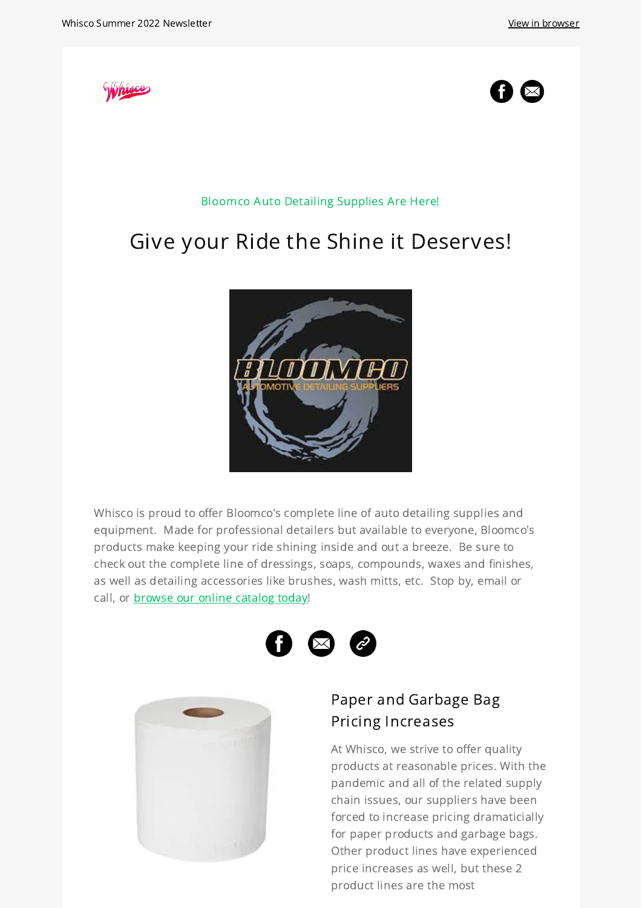



Bloomco Auto Detailing Supplies Are Here!

# Give your Ride the Shine it Deserves!



Whisco is proud to offer Bloomco's complete line of auto detailing supplies and equipment. Made for professional detailers but available to everyone, Bloomco's products make keeping your ride shining inside and out a breeze. Be sure to check out the complete line of dressings, soaps, compounds, waxes and finishes, as well as detailing accessories like brushes, wash mitts, etc. Stop by, email or call, or [browse](https://whisco.zohocommerce.com/) our online catalog today!





## Paper and Garbage Bag Pricing [Increases](https://whisco.ca/contact-us)

At Whisco, we strive to offer quality products at reasonable prices. With the pandemic and all of the related supply chain issues, our suppliers have been forced to increase pricing dramaticially for paper products and garbage bags. Other product lines have experienced price increases as well, but these 2 product lines are the most